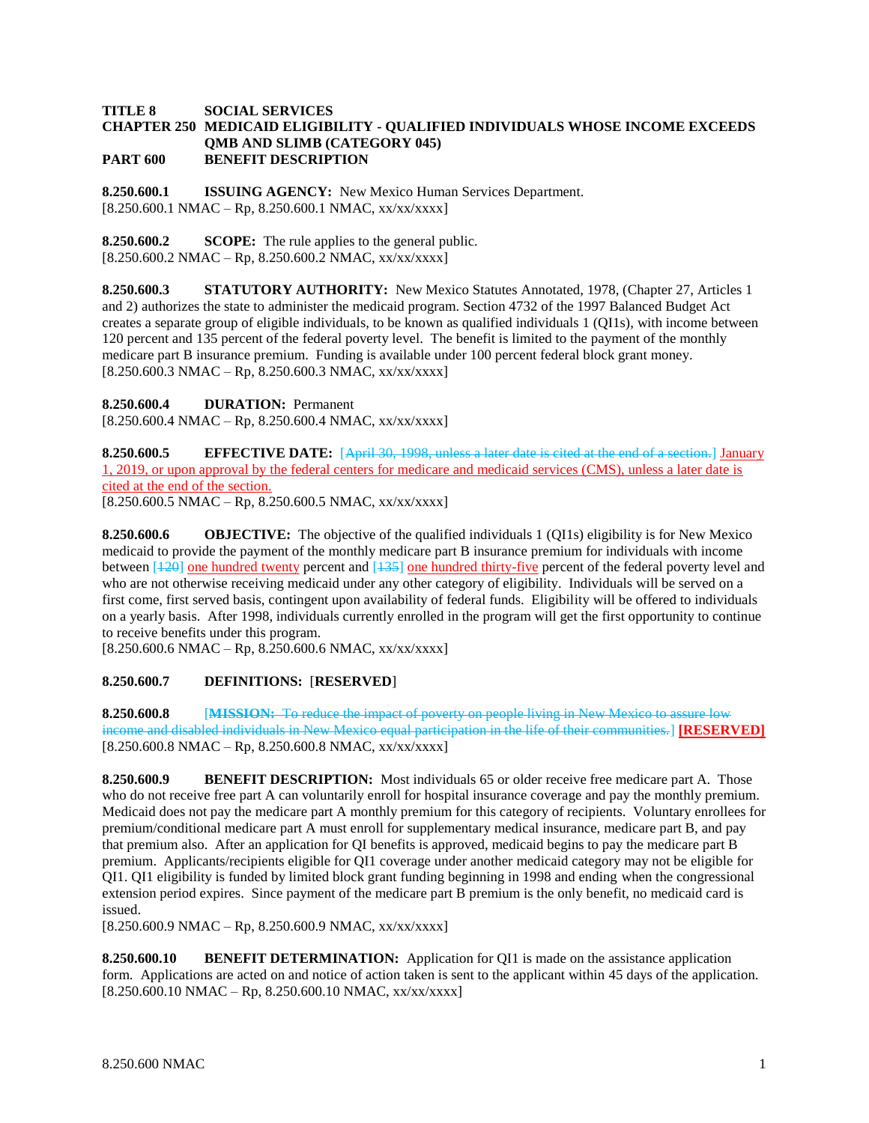## **TITLE 8 SOCIAL SERVICES CHAPTER 250 MEDICAID ELIGIBILITY - QUALIFIED INDIVIDUALS WHOSE INCOME EXCEEDS QMB AND SLIMB (CATEGORY 045) PART 600 BENEFIT DESCRIPTION**

**8.250.600.1 ISSUING AGENCY:** New Mexico Human Services Department.  $[8.250.600.1 \text{ NMAC} - \text{Rp}, 8.250.600.1 \text{ NMAC}, xx/xxxxx]$ 

**8.250.600.2 SCOPE:** The rule applies to the general public.  $[8.250.600.2 \text{ NMAC} - \text{Rp}, 8.250.600.2 \text{ NMAC}, xx/xxxxx]$ 

**8.250.600.3 STATUTORY AUTHORITY:** New Mexico Statutes Annotated, 1978, (Chapter 27, Articles 1 and 2) authorizes the state to administer the medicaid program. Section 4732 of the 1997 Balanced Budget Act creates a separate group of eligible individuals, to be known as qualified individuals 1 (QI1s), with income between 120 percent and 135 percent of the federal poverty level. The benefit is limited to the payment of the monthly medicare part B insurance premium. Funding is available under 100 percent federal block grant money.  $[8.250.600.3 \text{ NMAC} - \text{Rp}, 8.250.600.3 \text{ NMAC}, xx/xxxxx]$ 

**8.250.600.4 DURATION:** Permanent

 $[8.250.600.4 NMAC - Rp, 8.250.600.4 NMAC, xx/xxxx]$ 

**8.250.600.5 EFFECTIVE DATE:** [April 30, 1998, unless a later date is cited at the end of a section.] January 1, 2019, or upon approval by the federal centers for medicare and medicaid services (CMS), unless a later date is cited at the end of the section.

 $[8.250.600.5 \text{ NMAC} - \text{Rp}, 8.250.600.5 \text{ NMAC}, xx/xxxxx]$ 

**8.250.600.6 OBJECTIVE:** The objective of the qualified individuals 1 (QI1s) eligibility is for New Mexico medicaid to provide the payment of the monthly medicare part B insurance premium for individuals with income between [120] one hundred twenty percent and [135] one hundred thirty-five percent of the federal poverty level and who are not otherwise receiving medicaid under any other category of eligibility. Individuals will be served on a first come, first served basis, contingent upon availability of federal funds. Eligibility will be offered to individuals on a yearly basis. After 1998, individuals currently enrolled in the program will get the first opportunity to continue to receive benefits under this program.

 $[8.250.600.6 \text{ NMAC} - \text{Rp}, 8.250.600.6 \text{ NMAC}, xx/xxxxx]$ 

## **8.250.600.7 DEFINITIONS:** [**RESERVED**]

**8.250.600.8** [**MISSION:** To reduce the impact of poverty on people living in New Mexico to assure low income and disabled individuals in New Mexico equal participation in the life of their communities.] **[RESERVED]**  $[8.250.600.8 \text{ NMAC} - \text{Rp}, 8.250.600.8 \text{ NMAC}, xx/xx/xxxx]$ 

**8.250.600.9 BENEFIT DESCRIPTION:** Most individuals 65 or older receive free medicare part A. Those who do not receive free part A can voluntarily enroll for hospital insurance coverage and pay the monthly premium. Medicaid does not pay the medicare part A monthly premium for this category of recipients. Voluntary enrollees for premium/conditional medicare part A must enroll for supplementary medical insurance, medicare part B, and pay that premium also. After an application for QI benefits is approved, medicaid begins to pay the medicare part B premium. Applicants/recipients eligible for QI1 coverage under another medicaid category may not be eligible for QI1. QI1 eligibility is funded by limited block grant funding beginning in 1998 and ending when the congressional extension period expires. Since payment of the medicare part B premium is the only benefit, no medicaid card is issued.

[8.250.600.9 NMAC – Rp, 8.250.600.9 NMAC, xx/xx/xxxx]

**8.250.600.10 BENEFIT DETERMINATION:** Application for QI1 is made on the assistance application form. Applications are acted on and notice of action taken is sent to the applicant within 45 days of the application.  $[8.250.600.10 NMAC - Rp, 8.250.600.10 NMAC, xx/xx/xxx]$